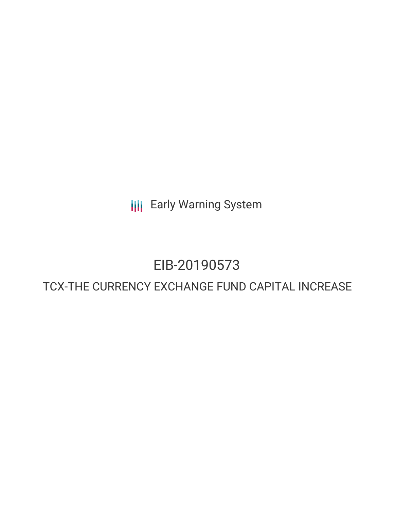**III** Early Warning System

# EIB-20190573

## TCX-THE CURRENCY EXCHANGE FUND CAPITAL INCREASE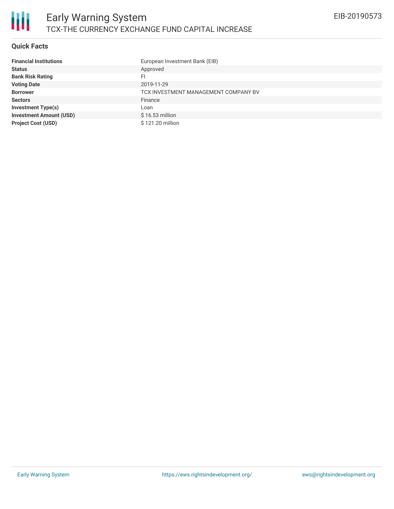

#### **Quick Facts**

| <b>Financial Institutions</b>  | European Investment Bank (EIB)       |
|--------------------------------|--------------------------------------|
| <b>Status</b>                  | Approved                             |
| <b>Bank Risk Rating</b>        | FI                                   |
| <b>Voting Date</b>             | 2019-11-29                           |
| <b>Borrower</b>                | TCX INVESTMENT MANAGEMENT COMPANY BV |
| <b>Sectors</b>                 | Finance                              |
| <b>Investment Type(s)</b>      | Loan                                 |
| <b>Investment Amount (USD)</b> | $$16.53$ million                     |
| <b>Project Cost (USD)</b>      | \$121.20 million                     |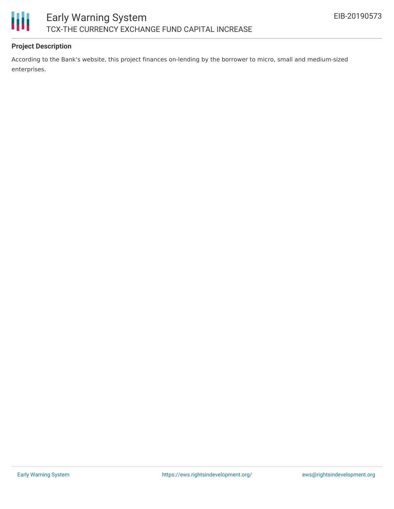



### **Project Description**

According to the Bank's website, this project finances on-lending by the borrower to micro, small and medium-sized enterprises.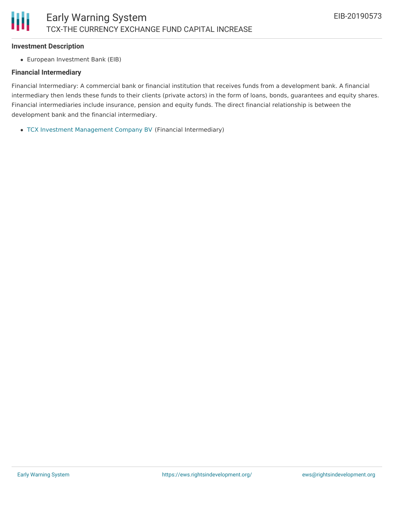#### **Investment Description**

European Investment Bank (EIB)

#### **Financial Intermediary**

Financial Intermediary: A commercial bank or financial institution that receives funds from a development bank. A financial intermediary then lends these funds to their clients (private actors) in the form of loans, bonds, guarantees and equity shares. Financial intermediaries include insurance, pension and equity funds. The direct financial relationship is between the development bank and the financial intermediary.

TCX Investment [Management](file:///actor/2588/) Company BV (Financial Intermediary)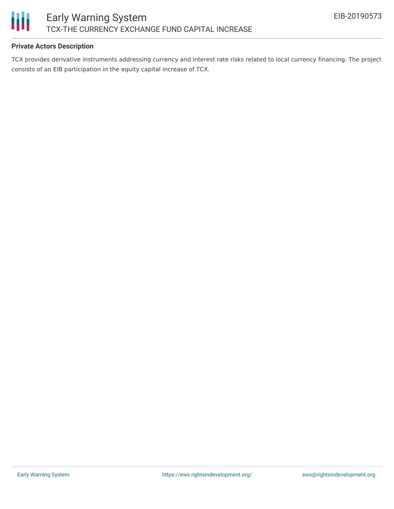

#### **Private Actors Description**

TCX provides derivative instruments addressing currency and interest rate risks related to local currency financing. The project consists of an EIB participation in the equity capital increase of TCX.